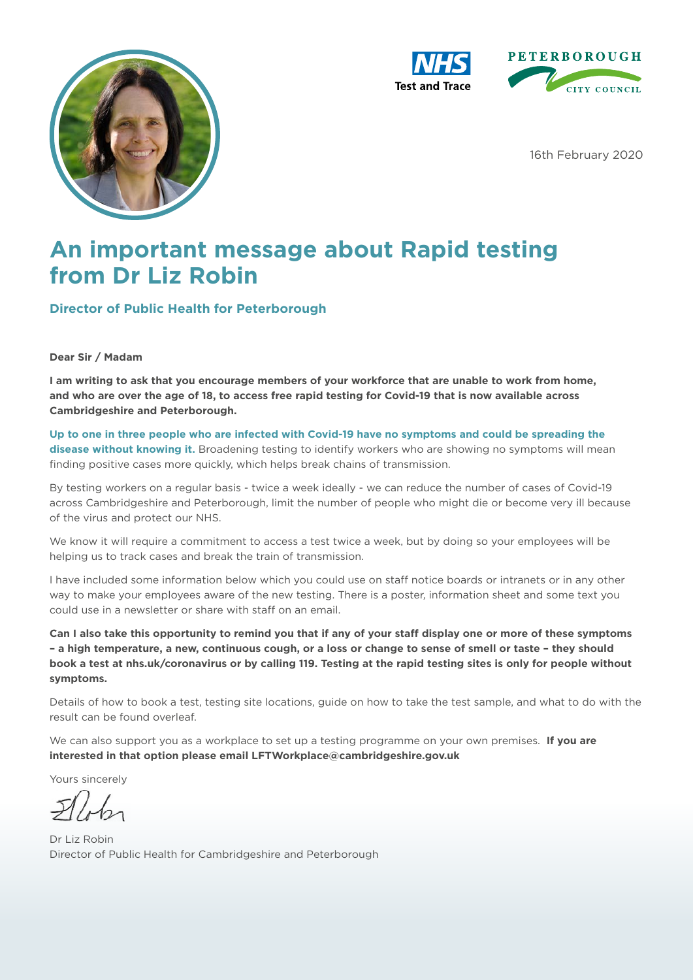





16th February 2020

## **An important message about Rapid testing from Dr Liz Robin**

**Director of Public Health for Peterborough**

#### **Dear Sir / Madam**

**I am writing to ask that you encourage members of your workforce that are unable to work from home, and who are over the age of 18, to access free rapid testing for Covid-19 that is now available across Cambridgeshire and Peterborough.**

**Up to one in three people who are infected with Covid-19 have no symptoms and could be spreading the disease without knowing it.** Broadening testing to identify workers who are showing no symptoms will mean finding positive cases more quickly, which helps break chains of transmission.

By testing workers on a regular basis - twice a week ideally - we can reduce the number of cases of Covid-19 across Cambridgeshire and Peterborough, limit the number of people who might die or become very ill because of the virus and protect our NHS.

We know it will require a commitment to access a test twice a week, but by doing so your employees will be helping us to track cases and break the train of transmission.

I have included some information below which you could use on staff notice boards or intranets or in any other way to make your employees aware of the new testing. There is a poster, information sheet and some text you could use in a newsletter or share with staff on an email.

**Can I also take this opportunity to remind you that if any of your staff display one or more of these symptoms – a high temperature, a new, continuous cough, or a loss or change to sense of smell or taste – they should book a test at nhs.uk/coronavirus or by calling 119. Testing at the rapid testing sites is only for people without symptoms.**

Details of how to book a test, testing site locations, guide on how to take the test sample, and what to do with the result can be found overleaf.

We can also support you as a workplace to set up a testing programme on your own premises. **If you are interested in that option please email LFTWorkplace@cambridgeshire.gov.uk**

Yours sincerely

Dr Liz Robin Director of Public Health for Cambridgeshire and Peterborough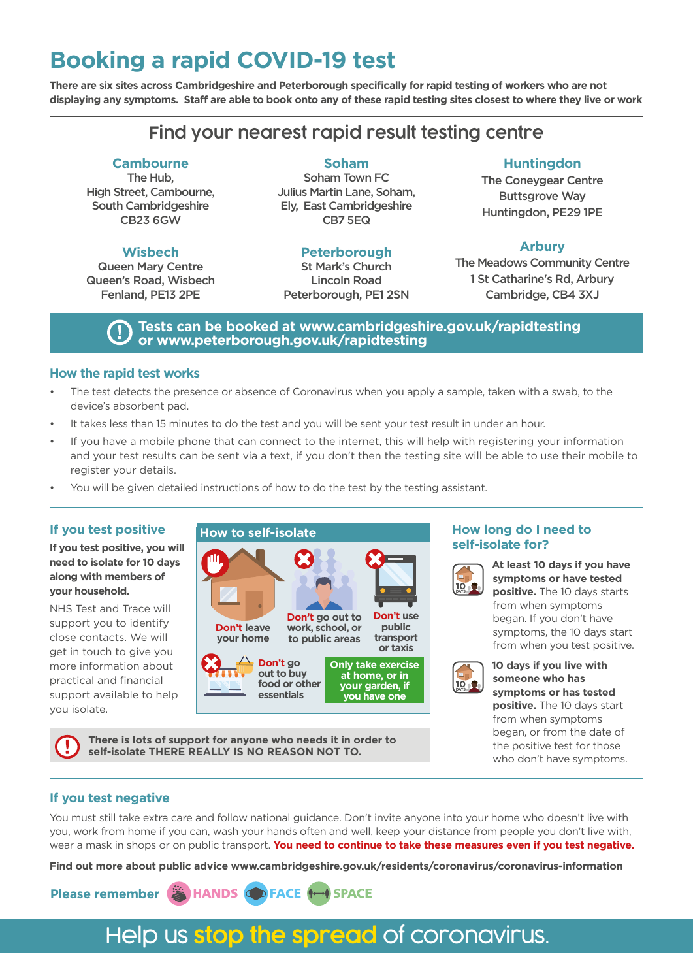## **Booking a rapid COVID-19 test**

**There are six sites across Cambridgeshire and Peterborough specifically for rapid testing of workers who are not displaying any symptoms. Staff are able to book onto any of these rapid testing sites closest to where they live or work**

### **Find your nearest rapid result testing centre**

#### **Cambourne**

The Hub, High Street, Cambourne, South Cambridgeshire CB23 6GW

#### **Wisbech**

Queen Mary Centre Queen's Road, Wisbech Fenland, PE13 2PE

#### **Soham**

Soham Town FC Julius Martin Lane, Soham, Ely, East Cambridgeshire CB7 5EQ

#### **Peterborough**

St Mark's Church Lincoln Road Peterborough, PE1 2SN

#### **Huntingdon**

The Coneygear Centre Buttsgrove Way Huntingdon, PE29 1PE

#### **Arbury**

The Meadows Community Centre 1 St Catharine's Rd, Arbury Cambridge, CB4 3XJ

#### **Tests can be booked at www.cambridgeshire.gov.uk/rapidtesting or www.peterborough.gov.uk/rapidtesting**

#### **How the rapid test works**

- The test detects the presence or absence of Coronavirus when you apply a sample, taken with a swab, to the device's absorbent pad.
- It takes less than 15 minutes to do the test and you will be sent your test result in under an hour.
- If you have a mobile phone that can connect to the internet, this will help with registering your information and your test results can be sent via a text, if you don't then the testing site will be able to use their mobile to register your details.
- You will be given detailed instructions of how to do the test by the testing assistant.

#### **If you test positive**

#### **If you test positive, you will need to isolate for 10 days along with members of your household.**

NHS Test and Trace will support you to identify close contacts. We will get in touch to give you more information about practical and financial support available to help you isolate.



**There is lots of support for anyone who needs it in order to self-isolate THERE REALLY IS NO REASON NOT TO.**

#### **How long do I need to self-isolate for?**



**At least 10 days if you have symptoms or have tested positive.** The 10 days starts from when symptoms began. If you don't have symptoms, the 10 days start from when you test positive.



**10 days if you live with someone who has symptoms or has tested positive.** The 10 days start from when symptoms began, or from the date of the positive test for those who don't have symptoms.

#### **If you test negative**

You must still take extra care and follow national guidance. Don't invite anyone into your home who doesn't live with you, work from home if you can, wash your hands often and well, keep your distance from people you don't live with, wear a mask in shops or on public transport. **You need to continue to take these measures even if you test negative.** 

**Find out more about public advice www.cambridgeshire.gov.uk/residents/coronavirus/coronavirus-information**



## Help us **stop the spread** of coronavirus.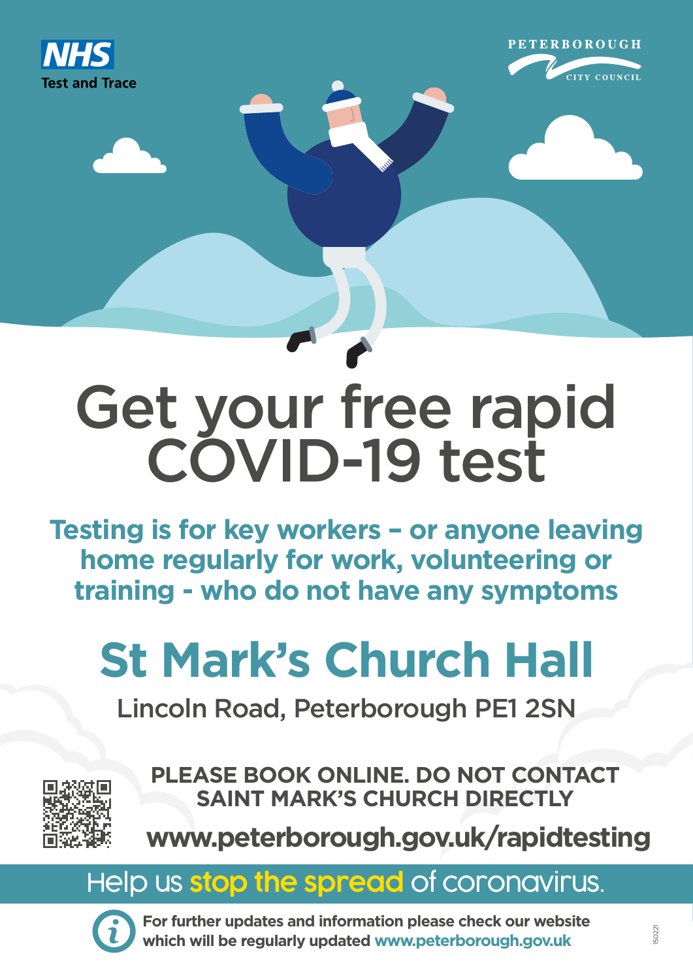



# Get your free rapid COVID-19 test

**Testing is for key workers – or anyone leaving home regularly for work, volunteering or training - who do not have any symptoms**

# **St Mark's Church Hall**

Lincoln Road, Peterborough PE1 2SN



**PLEASE BOOK ONLINE. DO NOT CONTACT SAINT MARK'S CHURCH DIRECTLY**

**www.peterborough.gov.uk/rapidtesting**

# Help us **stop the spread** of coronavirus.



**For further updates and information please check our website which will be regularly updated www.peterborough.gov.uk**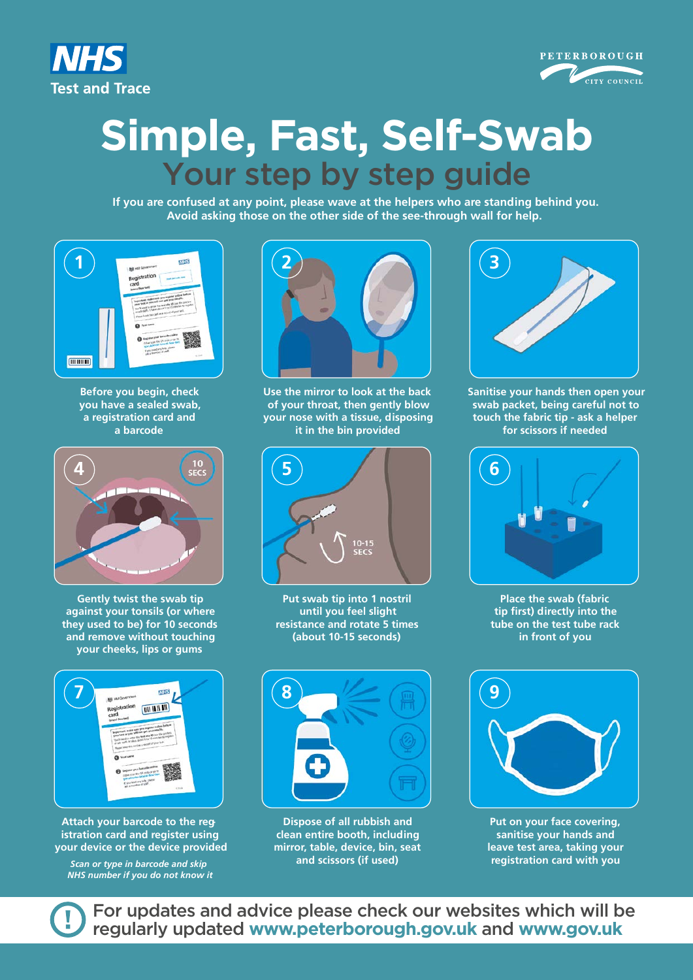



# **Simple, Fast, Self-Swab** Your step by step guide

**If you are confused at any point, please wave at the helpers who are standing behind you. Avoid asking those on the other side of the see-through wall for help.**



**Before you begin, check you have a sealed swab, a registration card and a barcode**



**Gently twist the swab tip against your tonsils (or where they used to be) for 10 seconds and remove without touching your cheeks, lips or gums**



**Attach your barcode to the registration card and register using your device or the device provided**

*Scan or type in barcode and skip NHS number if you do not know it*



**Use the mirror to look at the back of your throat, then gently blow your nose with a tissue, disposing it in the bin provided**



**Put swab tip into 1 nostril until you feel slight resistance and rotate 5 times (about 10-15 seconds)**



**Dispose of all rubbish and clean entire booth, including mirror, table, device, bin, seat and scissors (if used)** 



**Sanitise your hands then open your swab packet, being careful not to touch the fabric tip - ask a helper for scissors if needed**



**Place the swab (fabric tip first) directly into the tube on the test tube rack in front of you**



**Put on your face covering, sanitise your hands and leave test area, taking your registration card with you**

For updates and advice please check our websites which will be regularly updated **www.peterborough.gov.uk** and **www.gov.uk**